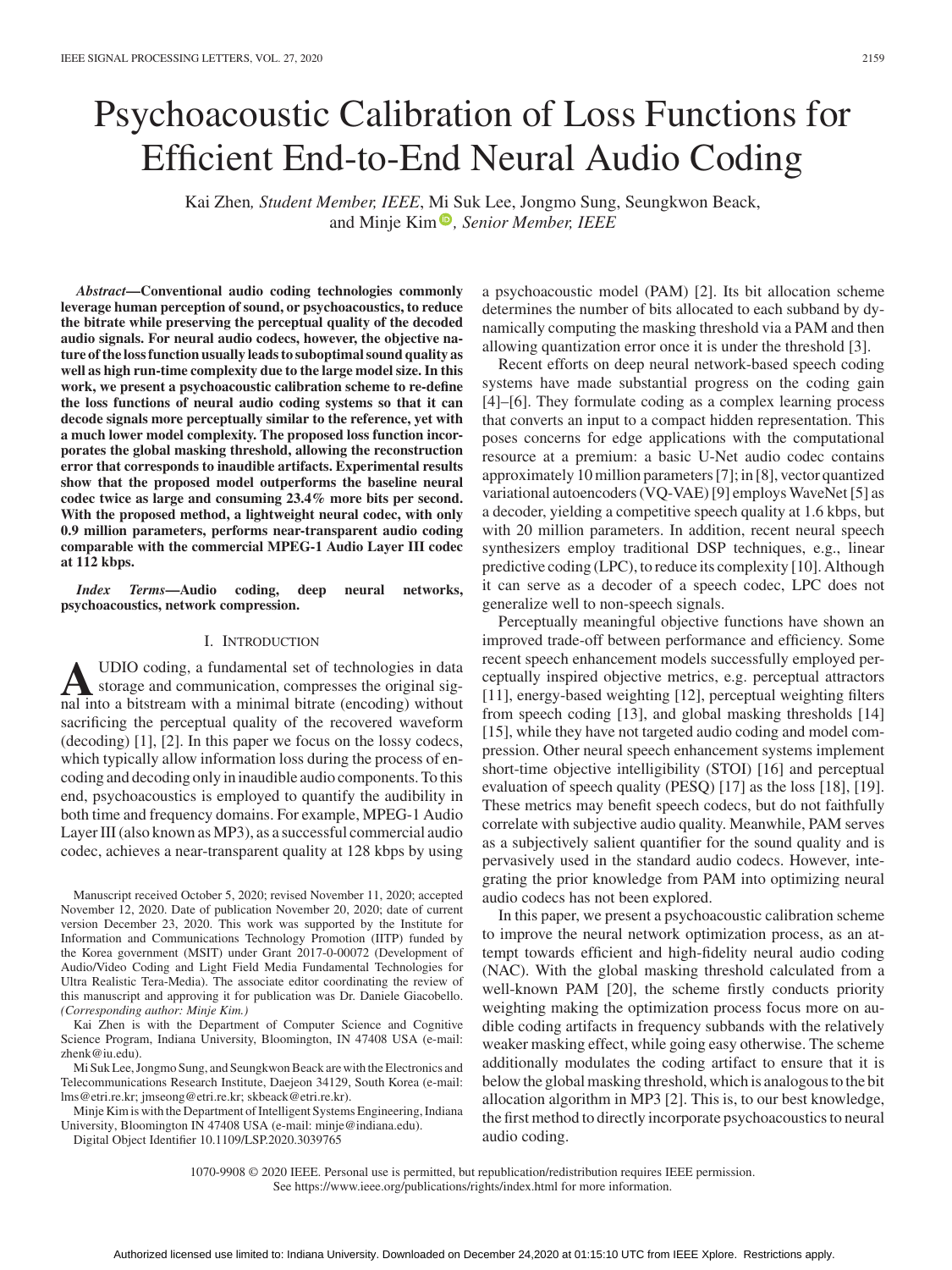# Psychoacoustic Calibration of Loss Functions for Efficient End-to-End Neural Audio Coding

Kai Zhen*, Student Member, IEEE*, [Mi](https://orcid.org/0000-0003-3513-8328) [S](https://orcid.org/0000-0003-3513-8328)uk Lee, Jongmo Sung, Seungkwon Beack, and Minje Kim<sup><sup>®</sup>, Senior Member, IEEE</sup>

*Abstract***—Conventional audio coding technologies commonly leverage human perception of sound, or psychoacoustics, to reduce the bitrate while preserving the perceptual quality of the decoded audio signals. For neural audio codecs, however, the objective nature of the loss function usually leads to suboptimal sound quality as well as high run-time complexity due to the large model size. In this work, we present a psychoacoustic calibration scheme to re-define the loss functions of neural audio coding systems so that it can decode signals more perceptually similar to the reference, yet with a much lower model complexity. The proposed loss function incorporates the global masking threshold, allowing the reconstruction error that corresponds to inaudible artifacts. Experimental results show that the proposed model outperforms the baseline neural codec twice as large and consuming 23.4% more bits per second. With the proposed method, a lightweight neural codec, with only 0.9 million parameters, performs near-transparent audio coding comparable with the commercial MPEG-1 Audio Layer III codec at 112 kbps.**

*Index Terms***—Audio coding, deep neural networks, psychoacoustics, network compression.**

# I. INTRODUCTION

**A**UDIO coding, a fundamental set of technologies in data<br>storage and communication, compresses the original sig-<br>and into a hitstream with a minimal hitrate (encoding) without nal into a bitstream with a minimal bitrate (encoding) without sacrificing the perceptual quality of the recovered waveform (decoding) [1], [2]. In this paper we focus on the lossy codecs, which typically allow information loss during the process of encoding and decoding only in inaudible audio components. To this end, psychoacoustics is employed to quantify the audibility in both time and frequency domains. For example, MPEG-1 Audio Layer III (also known as MP3), as a successful commercial audio codec, achieves a near-transparent quality at 128 kbps by using

Manuscript received October 5, 2020; revised November 11, 2020; accepted November 12, 2020. Date of publication November 20, 2020; date of current version December 23, 2020. This work was supported by the Institute for Information and Communications Technology Promotion (IITP) funded by the Korea government (MSIT) under Grant 2017-0-00072 (Development of Audio/Video Coding and Light Field Media Fundamental Technologies for Ultra Realistic Tera-Media). The associate editor coordinating the review of this manuscript and approving it for publication was Dr. Daniele Giacobello. *(Corresponding author: Minje Kim.)*

Kai Zhen is with the Department of Computer Science and Cognitive Science Program, Indiana University, Bloomington, IN 47408 USA (e-mail: [zhenk@iu.edu\)](mailto:zhenk@iu.edu).

Mi Suk Lee, Jongmo Sung, and Seungkwon Beack are with the Electronics and Telecommunications Research Institute, Daejeon 34129, South Korea (e-mail: [lms@etri.re.kr;](mailto:lms@etri.re.kr) [jmseong@etri.re.kr;](mailto:jmseong@etri.re.kr) [skbeack@etri.re.kr\)](mailto:skbeack@etri.re.kr).

Minje Kim is with the Department of Intelligent Systems Engineering, Indiana University, Bloomington IN 47408 USA (e-mail: [minje@indiana.edu\)](mailto:minje@indiana.edu).

Digital Object Identifier 10.1109/LSP.2020.3039765

a psychoacoustic model (PAM) [2]. Its bit allocation scheme determines the number of bits allocated to each subband by dynamically computing the masking threshold via a PAM and then allowing quantization error once it is under the threshold [3].

Recent efforts on deep neural network-based speech coding systems have made substantial progress on the coding gain [4]–[6]. They formulate coding as a complex learning process that converts an input to a compact hidden representation. This poses concerns for edge applications with the computational resource at a premium: a basic U-Net audio codec contains approximately 10 million parameters [7]; in [8], vector quantized variational autoencoders (VQ-VAE) [9] employs WaveNet [5] as a decoder, yielding a competitive speech quality at 1.6 kbps, but with 20 million parameters. In addition, recent neural speech synthesizers employ traditional DSP techniques, e.g., linear predictive coding (LPC), to reduce its complexity [10]. Although it can serve as a decoder of a speech codec, LPC does not generalize well to non-speech signals.

Perceptually meaningful objective functions have shown an improved trade-off between performance and efficiency. Some recent speech enhancement models successfully employed perceptually inspired objective metrics, e.g. perceptual attractors [11], energy-based weighting [12], perceptual weighting filters from speech coding [13], and global masking thresholds [14] [15], while they have not targeted audio coding and model compression. Other neural speech enhancement systems implement short-time objective intelligibility (STOI) [16] and perceptual evaluation of speech quality (PESQ) [17] as the loss [18], [19]. These metrics may benefit speech codecs, but do not faithfully correlate with subjective audio quality. Meanwhile, PAM serves as a subjectively salient quantifier for the sound quality and is pervasively used in the standard audio codecs. However, integrating the prior knowledge from PAM into optimizing neural audio codecs has not been explored.

In this paper, we present a psychoacoustic calibration scheme to improve the neural network optimization process, as an attempt towards efficient and high-fidelity neural audio coding (NAC). With the global masking threshold calculated from a well-known PAM [20], the scheme firstly conducts priority weighting making the optimization process focus more on audible coding artifacts in frequency subbands with the relatively weaker masking effect, while going easy otherwise. The scheme additionally modulates the coding artifact to ensure that it is below the global masking threshold, which is analogous to the bit allocation algorithm in MP3 [2]. This is, to our best knowledge, the first method to directly incorporate psychoacoustics to neural audio coding.

1070-9908 © 2020 IEEE. Personal use is permitted, but republication/redistribution requires IEEE permission. See https://www.ieee.org/publications/rights/index.html for more information.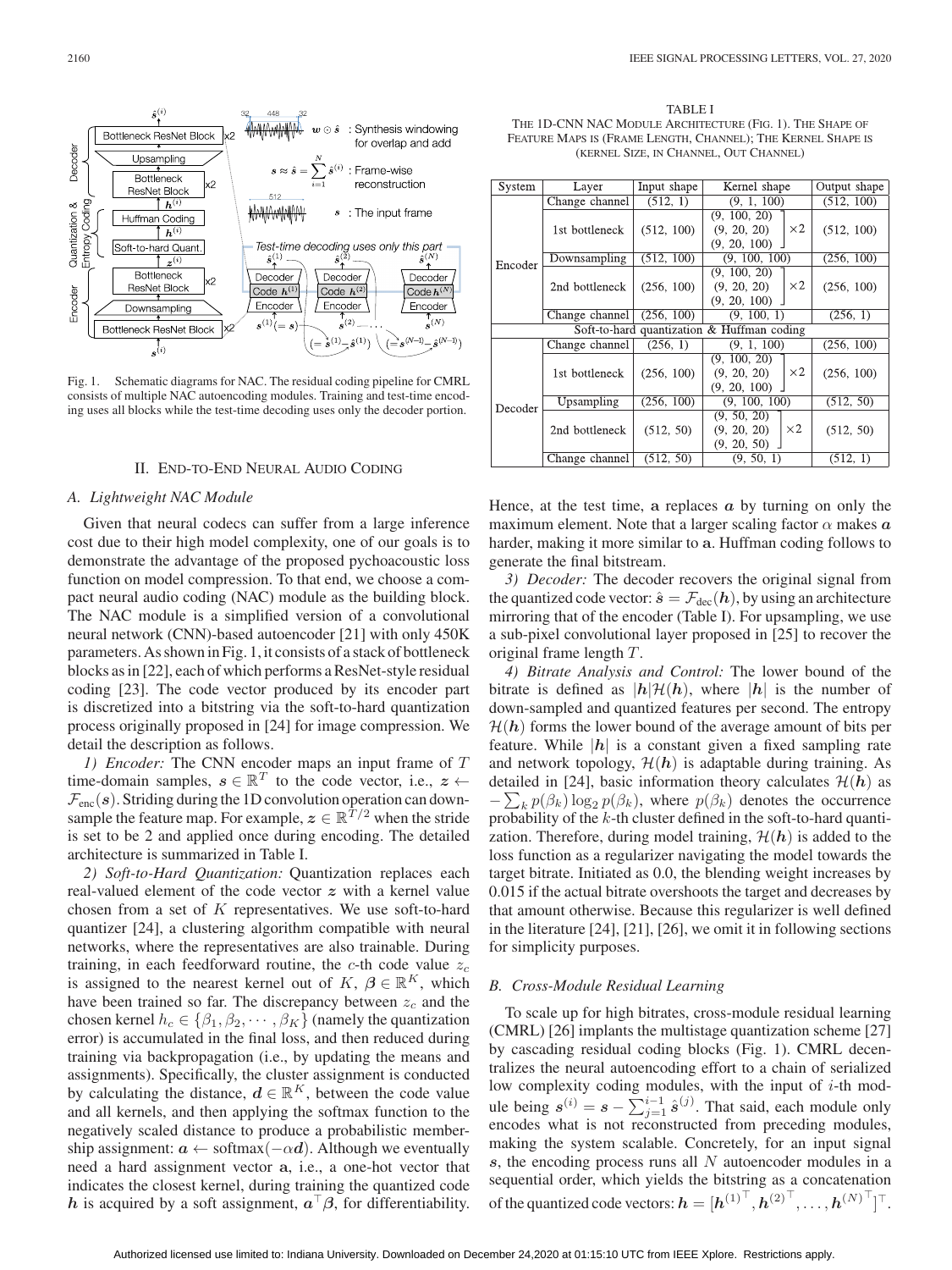

Fig. 1. Schematic diagrams for NAC. The residual coding pipeline for CMRL consists of multiple NAC autoencoding modules. Training and test-time encoding uses all blocks while the test-time decoding uses only the decoder portion.

# II. END-TO-END NEURAL AUDIO CODING

## *A. Lightweight NAC Module*

Given that neural codecs can suffer from a large inference cost due to their high model complexity, one of our goals is to demonstrate the advantage of the proposed pychoacoustic loss function on model compression. To that end, we choose a compact neural audio coding (NAC) module as the building block. The NAC module is a simplified version of a convolutional neural network (CNN)-based autoencoder [21] with only 450K parameters. As shown in Fig. 1, it consists of a stack of bottleneck blocks as in [22], each of which performs a ResNet-style residual coding [23]. The code vector produced by its encoder part is discretized into a bitstring via the soft-to-hard quantization process originally proposed in [24] for image compression. We detail the description as follows.

*1) Encoder:* The CNN encoder maps an input frame of T time-domain samples,  $s \in \mathbb{R}^T$  to the code vector, i.e.,  $z \leftarrow$  $\mathcal{F}_{\text{enc}}(s)$ . Striding during the 1D convolution operation can downsample the feature map. For example,  $z \in \mathbb{R}^{T/2}$  when the stride is set to be 2 and applied once during encoding. The detailed architecture is summarized in Table I.

*2) Soft-to-Hard Quantization:* Quantization replaces each real-valued element of the code vector *z* with a kernel value chosen from a set of K representatives. We use soft-to-hard quantizer [24], a clustering algorithm compatible with neural networks, where the representatives are also trainable. During training, in each feedforward routine, the  $c$ -th code value  $z_c$ is assigned to the nearest kernel out of  $K, \beta \in \mathbb{R}^K$ , which have been trained so far. The discrepancy between z*<sup>c</sup>* and the chosen kernel  $h_c \in \{\beta_1, \beta_2, \cdots, \beta_K\}$  (namely the quantization error) is accumulated in the final loss, and then reduced during training via backpropagation (i.e., by updating the means and assignments). Specifically, the cluster assignment is conducted by calculating the distance,  $d \in \mathbb{R}^K$ , between the code value and all kernels, and then applying the softmax function to the negatively scaled distance to produce a probabilistic membership assignment:  $a \leftarrow softmax(-\alpha d)$ . Although we eventually need a hard assignment vector **a**, i.e., a one-hot vector that indicates the closest kernel, during training the quantized code *h* is acquired by a soft assignment,  $a^{\top}\beta$ , for differentiability.

TABLE I THE 1D-CNN NAC MODULE ARCHITECTURE (FIG. 1). THE SHAPE OF FEATURE MAPS IS (FRAME LENGTH, CHANNEL); THE KERNEL SHAPE IS (KERNEL SIZE, IN CHANNEL, OUT CHANNEL)

| System                                     | Layer          | Input shape | Kernel shape     |            | Output shape |  |
|--------------------------------------------|----------------|-------------|------------------|------------|--------------|--|
|                                            | Change channel | (512, 1)    | (9, 1, 100)      |            | (512, 100)   |  |
| Encoder                                    |                |             | (9, 100, 20)     |            |              |  |
|                                            | 1st bottleneck | (512, 100)  | (9, 20, 20)      | $\times 2$ | (512, 100)   |  |
|                                            |                |             | $(9, 20, 100)$ . |            |              |  |
|                                            | Downsampling   | (512, 100)  | (9, 100, 100)    |            | (256, 100)   |  |
|                                            |                |             | (9, 100, 20)     |            |              |  |
|                                            | 2nd bottleneck | (256, 100)  | (9, 20, 20)      | $\times 2$ | (256, 100)   |  |
|                                            |                |             | (9, 20, 100)     |            |              |  |
|                                            | Change channel | (256, 100)  | (9, 100, 1)      |            | (256, 1)     |  |
| Soft-to-hard quantization & Huffman coding |                |             |                  |            |              |  |
|                                            | Change channel | (256, 1)    | (9, 1, 100)      |            | (256, 100)   |  |
| Decoder                                    |                |             | (9, 100, 20)     |            |              |  |
|                                            | 1st bottleneck | (256, 100)  | (9, 20, 20)      | $\times 2$ | (256, 100)   |  |
|                                            |                |             | (9, 20, 100)     |            |              |  |
|                                            | Upsampling     | (256, 100)  | (9, 100, 100)    |            | (512, 50)    |  |
|                                            |                |             | (9, 50, 20)      |            |              |  |
|                                            | 2nd bottleneck | (512, 50)   | (9, 20, 20)      | $\times 2$ | (512, 50)    |  |
|                                            |                |             | (9, 20, 50)      |            |              |  |
|                                            | Change channel | (512, 50)   | (9, 50, 1)       |            | (512, 1)     |  |

Hence, at the test time, **a** replaces *a* by turning on only the maximum element. Note that a larger scaling factor  $\alpha$  makes  $\alpha$ harder, making it more similar to **a**. Huffman coding follows to generate the final bitstream.

*3) Decoder:* The decoder recovers the original signal from the quantized code vector:  $\hat{s} = \mathcal{F}_{\text{dec}}(h)$ , by using an architecture mirroring that of the encoder (Table I). For upsampling, we use a sub-pixel convolutional layer proposed in [25] to recover the original frame length T.

*4) Bitrate Analysis and Control:* The lower bound of the bitrate is defined as  $|h|\mathcal{H}(h)$ , where  $|h|$  is the number of down-sampled and quantized features per second. The entropy  $H(h)$  forms the lower bound of the average amount of bits per feature. While  $|h|$  is a constant given a fixed sampling rate and network topology,  $\mathcal{H}(\mathbf{h})$  is adaptable during training. As detailed in [24], basic information theory calculates  $\mathcal{H}(h)$  as  $-\sum_k p(\beta_k) \log_2 p(\beta_k)$ , where  $p(\beta_k)$  denotes the occurrence<br>probability of the k-th cluster defined in the soft-to-hard quantiprobability of the k-th cluster defined in the soft-to-hard quantization. Therefore, during model training,  $\mathcal{H}(\mathbf{h})$  is added to the loss function as a regularizer navigating the model towards the target bitrate. Initiated as 0.0, the blending weight increases by 0.015 if the actual bitrate overshoots the target and decreases by that amount otherwise. Because this regularizer is well defined in the literature [24], [21], [26], we omit it in following sections for simplicity purposes.

#### *B. Cross-Module Residual Learning*

To scale up for high bitrates, cross-module residual learning (CMRL) [26] implants the multistage quantization scheme [27] by cascading residual coding blocks (Fig. 1). CMRL decentralizes the neural autoencoding effort to a chain of serialized low complexity coding modules, with the input of  $i$ -th module being  $s^{(i)} = s - \sum_{j=1}^{i-1} \hat{s}^{(j)}$ . That said, each module only encodes what is not reconstructed from preceding modules encodes what is not reconstructed from preceding modules, making the system scalable. Concretely, for an input signal *s*, the encoding process runs all N autoencoder modules in a sequential order, which yields the bitstring as a concatenation of the quantized code vectors:  $\boldsymbol{h} = [\boldsymbol{h}^{(1)}^\top, \boldsymbol{h}^{(2)}^\top, \dots, \boldsymbol{h}^{(N)}^\top]^\top.$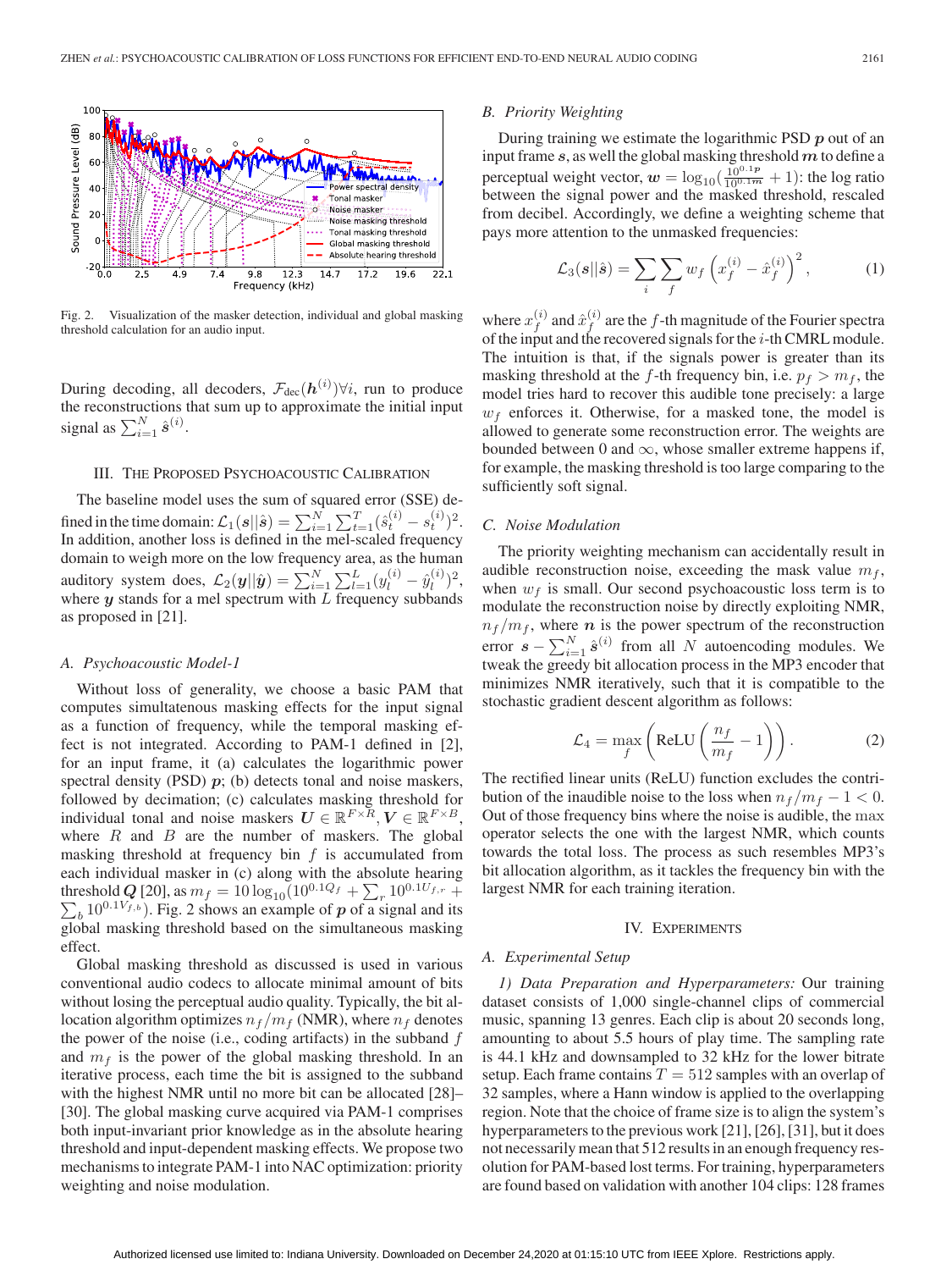

Fig. 2. Visualization of the masker detection, individual and global masking threshold calculation for an audio input.

During decoding, all decoders,  $\mathcal{F}_{dec}(h^{(i)})\forall i$ , run to produce the reconstructions that sum up to approximate the initial input the reconstructions that sum up to approximate the initial input signal as  $\sum_{i=1}^{N} \hat{s}^{(i)}$ .

# III. THE PROPOSED PSYCHOACOUSTIC CALIBRATION

The baseline model uses the sum of squared error (SSE) defined in the time domain:  $\mathcal{L}_1(s||\hat{s}) = \sum_{i=1}^N \sum_{t=1}^T (\hat{s}_t^{(i)} - s_t^{(i)})^2$ .<br>In addition, another loss is defined in the mel-scaled frequency domain to weigh more on the low frequency area, as the human auditory system does,  $\mathcal{L}_2(\mathbf{y}||\hat{\mathbf{y}}) = \sum_{i=1}^{N} \sum_{l=1}^{L} (y_l^{(i)} - \hat{y}_l^{(i)})^2$ , where *y* stands for a mel spectrum with *L* frequency subbands as proposed in [21].

#### *A. Psychoacoustic Model-1*

Without loss of generality, we choose a basic PAM that computes simultatenous masking effects for the input signal as a function of frequency, while the temporal masking effect is not integrated. According to PAM-1 defined in [2], for an input frame, it (a) calculates the logarithmic power spectral density (PSD)  $p$ ; (b) detects tonal and noise maskers, followed by decimation; (c) calculates masking threshold for individual tonal and noise maskers  $U \in \mathbb{R}^{F \times R}$ ,  $V \in \mathbb{R}^{F \times B}$ , where  $R$  and  $B$  are the number of maskers. The global masking threshold at frequency bin  $f$  is accumulated from each individual masker in (c) along with the absolute hearing threshold *Q* [20], as  $m_f = 10 \log_{10} (10^{0.1}Q_f + \sum_r 10^{0.1}U_f$ ,  $\sum_{r=1}^{\infty} 10^{0.1}U_f$ , Fig. 2 shows an example of *n* of a signal and  $\sum_b 10^{0.1V_{f,b}}$ . Fig. 2 shows an example of *p* of a signal and its<br>clobal masking threshold based on the simultaneous masking global masking threshold based on the simultaneous masking effect.

Global masking threshold as discussed is used in various conventional audio codecs to allocate minimal amount of bits without losing the perceptual audio quality. Typically, the bit allocation algorithm optimizes  $n_f/m_f$  (NMR), where  $n_f$  denotes the power of the noise (i.e., coding artifacts) in the subband  $f$ and  $m_f$  is the power of the global masking threshold. In an iterative process, each time the bit is assigned to the subband with the highest NMR until no more bit can be allocated [28]– [30]. The global masking curve acquired via PAM-1 comprises both input-invariant prior knowledge as in the absolute hearing threshold and input-dependent masking effects. We propose two mechanisms to integrate PAM-1 into NAC optimization: priority weighting and noise modulation.

#### *B. Priority Weighting*

During training we estimate the logarithmic PSD *p* out of an input frame *s*, as well the global masking threshold*m*to define a perceptual weight vector,  $w = \log_{10}(\frac{10^{0.1}p}{10^{0.1}m} + 1)$ : the log ratio<br>between the signal power and the masked threshold, rescaled between the signal power and the masked threshold, rescaled from decibel. Accordingly, we define a weighting scheme that pays more attention to the unmasked frequencies:

$$
\mathcal{L}_3(s||\hat{s}) = \sum_i \sum_f w_f \left(x_f^{(i)} - \hat{x}_f^{(i)}\right)^2, \tag{1}
$$

where  $x_f^{(i)}$  and  $\hat{x}_f^{(i)}$  are the f-th magnitude of the Fourier spectra of the input and the recovered signals for the *i*-th CMRL module of the input and the recovered signals for the  $i$ -th CMRL module. The intuition is that, if the signals power is greater than its masking threshold at the f-th frequency bin, i.e.  $p_f > m_f$ , the model tries hard to recover this audible tone precisely: a large  $w_f$  enforces it. Otherwise, for a masked tone, the model is allowed to generate some reconstruction error. The weights are bounded between 0 and  $\infty$ , whose smaller extreme happens if, for example, the masking threshold is too large comparing to the sufficiently soft signal.

# *C. Noise Modulation*

The priority weighting mechanism can accidentally result in audible reconstruction noise, exceeding the mask value  $m_f$ , when  $w_f$  is small. Our second psychoacoustic loss term is to modulate the reconstruction noise by directly exploiting NMR,  $n_f/m_f$ , where *n* is the power spectrum of the reconstruction error  $s - \sum_{i=1}^{N} \hat{s}^{(i)}$  from all N autoencoding modules. We tweak the original allocation process in the MP3 encoder that tweak the greedy bit allocation process in the MP3 encoder that minimizes NMR iteratively, such that it is compatible to the stochastic gradient descent algorithm as follows:

$$
\mathcal{L}_4 = \max_f \left( \text{ReLU} \left( \frac{n_f}{m_f} - 1 \right) \right). \tag{2}
$$

The rectified linear units (ReLU) function excludes the contribution of the inaudible noise to the loss when  $n_f/m_f - 1 < 0$ . Out of those frequency bins where the noise is audible, the max operator selects the one with the largest NMR, which counts towards the total loss. The process as such resembles MP3's bit allocation algorithm, as it tackles the frequency bin with the largest NMR for each training iteration.

### IV. EXPERIMENTS

## *A. Experimental Setup*

*1) Data Preparation and Hyperparameters:* Our training dataset consists of 1,000 single-channel clips of commercial music, spanning 13 genres. Each clip is about 20 seconds long, amounting to about 5.5 hours of play time. The sampling rate is 44.1 kHz and downsampled to 32 kHz for the lower bitrate setup. Each frame contains  $T = 512$  samples with an overlap of 32 samples, where a Hann window is applied to the overlapping region. Note that the choice of frame size is to align the system's hyperparameters to the previous work [21], [26], [31], but it does not necessarily mean that 512 results in an enough frequency resolution for PAM-based lost terms. For training, hyperparameters are found based on validation with another 104 clips: 128 frames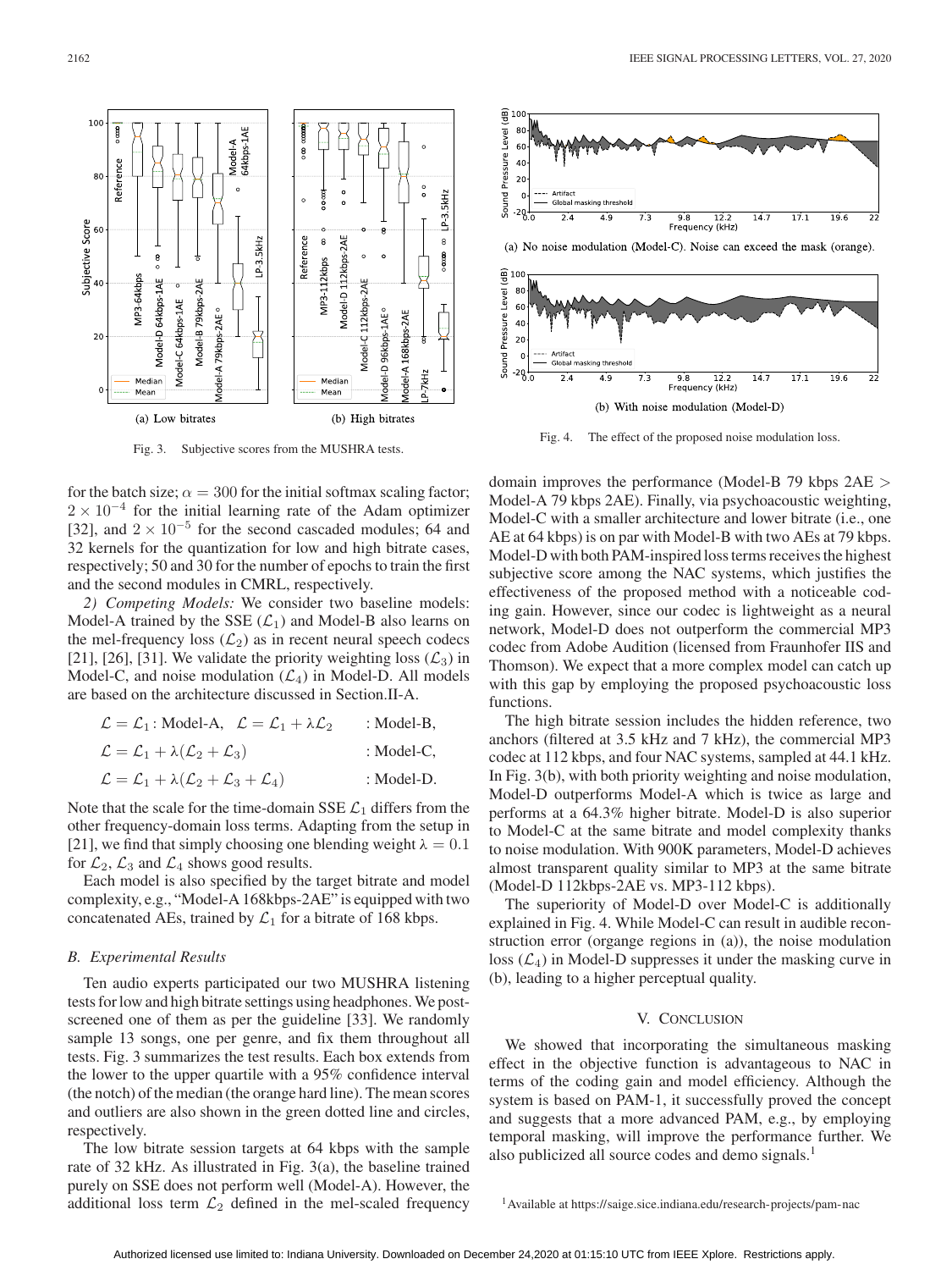

Fig. 3. Subjective scores from the MUSHRA tests.

for the batch size;  $\alpha = 300$  for the initial softmax scaling factor;  $2 \times 10^{-4}$  for the initial learning rate of the Adam optimizer [32], and  $2 \times 10^{-5}$  for the second cascaded modules; 64 and 32 kernels for the quantization for low and high bitrate cases, respectively; 50 and 30 for the number of epochs to train the first and the second modules in CMRL, respectively.

*2) Competing Models:* We consider two baseline models: Model-A trained by the SSE  $(\mathcal{L}_1)$  and Model-B also learns on the mel-frequency loss  $(\mathcal{L}_2)$  as in recent neural speech codecs [21], [26], [31]. We validate the priority weighting loss  $(\mathcal{L}_3)$  in Model-C, and noise modulation  $(\mathcal{L}_4)$  in Model-D. All models are based on the architecture discussed in Section.II-A.

| $\mathcal{L} = \mathcal{L}_1$ : Model-A, $\mathcal{L} = \mathcal{L}_1 + \lambda \mathcal{L}_2$ | : Model-B, |
|------------------------------------------------------------------------------------------------|------------|
| $\mathcal{L} = \mathcal{L}_1 + \lambda(\mathcal{L}_2 + \mathcal{L}_3)$                         | : Model-C, |
| $\mathcal{L} = \mathcal{L}_1 + \lambda(\mathcal{L}_2 + \mathcal{L}_3 + \mathcal{L}_4)$         | : Model-D. |
|                                                                                                |            |

Note that the scale for the time-domain SSE  $\mathcal{L}_1$  differs from the other frequency-domain loss terms. Adapting from the setup in [21], we find that simply choosing one blending weight  $\lambda = 0.1$ for  $\mathcal{L}_2$ ,  $\mathcal{L}_3$  and  $\mathcal{L}_4$  shows good results.

Each model is also specified by the target bitrate and model complexity, e.g., "Model-A 168kbps-2AE" is equipped with two concatenated AEs, trained by  $\mathcal{L}_1$  for a bitrate of 168 kbps.

# *B. Experimental Results*

Ten audio experts participated our two MUSHRA listening tests for low and high bitrate settings using headphones.We postscreened one of them as per the guideline [33]. We randomly sample 13 songs, one per genre, and fix them throughout all tests. Fig. 3 summarizes the test results. Each box extends from the lower to the upper quartile with a 95% confidence interval (the notch) of the median (the orange hard line). The mean scores and outliers are also shown in the green dotted line and circles, respectively.

The low bitrate session targets at 64 kbps with the sample rate of 32 kHz. As illustrated in Fig. 3(a), the baseline trained purely on SSE does not perform well (Model-A). However, the additional loss term  $\mathcal{L}_2$  defined in the mel-scaled frequency





Fig. 4. The effect of the proposed noise modulation loss.

domain improves the performance (Model-B 79 kbps 2AE > Model-A 79 kbps 2AE). Finally, via psychoacoustic weighting, Model-C with a smaller architecture and lower bitrate (i.e., one AE at 64 kbps) is on par with Model-B with two AEs at 79 kbps. Model-D with both PAM-inspired loss terms receives the highest subjective score among the NAC systems, which justifies the effectiveness of the proposed method with a noticeable coding gain. However, since our codec is lightweight as a neural network, Model-D does not outperform the commercial MP3 codec from Adobe Audition (licensed from Fraunhofer IIS and Thomson). We expect that a more complex model can catch up with this gap by employing the proposed psychoacoustic loss functions.

The high bitrate session includes the hidden reference, two anchors (filtered at 3.5 kHz and 7 kHz), the commercial MP3 codec at 112 kbps, and four NAC systems, sampled at 44.1 kHz. In Fig. 3(b), with both priority weighting and noise modulation, Model-D outperforms Model-A which is twice as large and performs at a 64.3% higher bitrate. Model-D is also superior to Model-C at the same bitrate and model complexity thanks to noise modulation. With 900K parameters, Model-D achieves almost transparent quality similar to MP3 at the same bitrate (Model-D 112kbps-2AE vs. MP3-112 kbps).

The superiority of Model-D over Model-C is additionally explained in Fig. 4. While Model-C can result in audible reconstruction error (organge regions in (a)), the noise modulation loss  $(\mathcal{L}_4)$  in Model-D suppresses it under the masking curve in (b), leading to a higher perceptual quality.

#### V. CONCLUSION

We showed that incorporating the simultaneous masking effect in the objective function is advantageous to NAC in terms of the coding gain and model efficiency. Although the system is based on PAM-1, it successfully proved the concept and suggests that a more advanced PAM, e.g., by employing temporal masking, will improve the performance further. We also publicized all source codes and demo signals.<sup>1</sup>

<sup>1</sup>Available at<https://saige.sice.indiana.edu/research-projects/pam-nac>